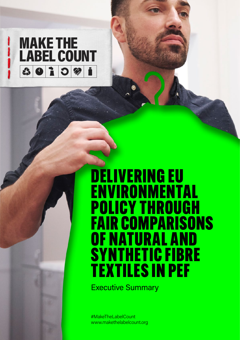

## DELIVERING EU<br>ENVIRONMENT ENVIRONMENTAL POLICY THROUGH FAIR COMPARISONS OF NATURAL AND SYNTHETIC FIBRE TEXTILES IN PEF

Executive Summary

#MakeTheLabelCount www.makethelabelcount.org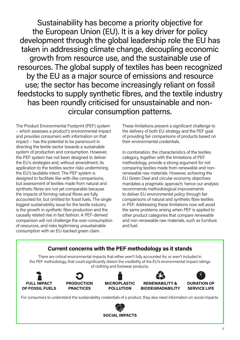Sustainability has become a priority objective for the European Union (EU). It is a key driver for policy development through the global leadership role the EU has taken in addressing climate change, decoupling economic growth from resource use, and the sustainable use of resources. The global supply of textiles has been recognized by the EU as a major source of emissions and resource use; the sector has become increasingly reliant on fossil feedstocks to supply synthetic fibres, and the textile industry has been roundly criticised for unsustainable and noncircular consumption patterns.

The Product Environmental Footprint (PEF) system – which assesses a product's environmental impact and provides consumers with information on that impact – has the potential to be paramount in directing the textile sector towards a sustainable system of production and consumption. However, the PEF system has not been designed to deliver the EU's strategies and, without amendment, its application to the textiles sector risks undermining the EU's laudable intent. The PEF system is designed to facilitate like-with-like comparisons, but assessment of textiles made from natural and synthetic fibres are not yet comparable because the impacts of forming natural fibres are fully accounted for, but omitted for fossil fuels. The single biggest sustainability issue for the textile industry is the growth in synthetic fibre production and the causally related rise in fast fashion. A PEF-derived comparison will not challenge the over-consumption of resources, and risks legitimising unsustainable consumption with an EU-backed green claim.

These limitations present a significant challenge to the delivery of both EU strategy and the PEF goal of providing fair comparisons of products based on their environmental credentials.

In combination, the characteristics of the textiles category, together with the limitations of PEF methodology, provide a strong argument for not comparing textiles made from renewable and nonrenewable raw materials. However, achieving the EU Green Deal and circular economy objectives mandates a pragmatic approach; hence our analysis recommends methodological improvements to deliver EU environmental policy through fair comparisons of natural and synthetic fibre textiles in PEF. Addressing these limitations now will avoid the same problems arising when PEF is applied to other product categories that compare renewable and non-renewable raw materials, such as furniture and fuel.



**SOCIAL IMPACTS**